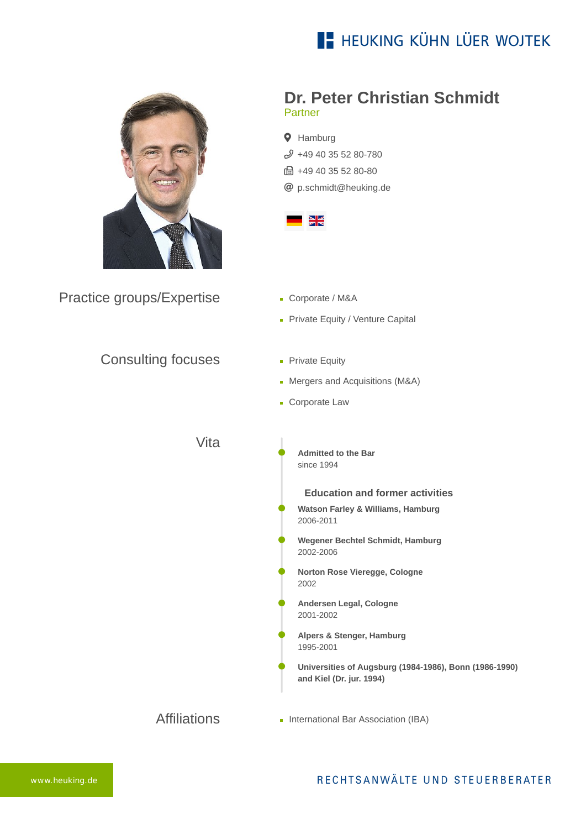



Practice groups/Expertise

## **Dr. Peter Christian Schmidt** Partner

**Q** Hamburg  $$49$  49 40 35 52 80-780 ft +49 40 35 52 80-80 [p.schmidt@heuking.de](mailto:p.schmidt@heuking.de?subject=Contact%20via%20website%20heuking.de)



- Corporate / M&A
- Private Equity / Venture Capital
- Consulting focuses
- **Private Equity**
- Mergers and Acquisitions (M&A)
- **Corporate Law**

Vita

**Admitted to the Bar** since 1994

**Education and former activities**

- **Watson Farley & Williams, Hamburg** 2006-2011
- **Wegener Bechtel Schmidt, Hamburg** 2002-2006
- **Norton Rose Vieregge, Cologne** 2002
- **Andersen Legal, Cologne** 2001-2002
- **Alpers & Stenger, Hamburg** 1995-2001
- **Universities of Augsburg (1984-1986), Bonn (1986-1990) and Kiel (Dr. jur. 1994)**
- **Affiliations International Bar Association (IBA)**